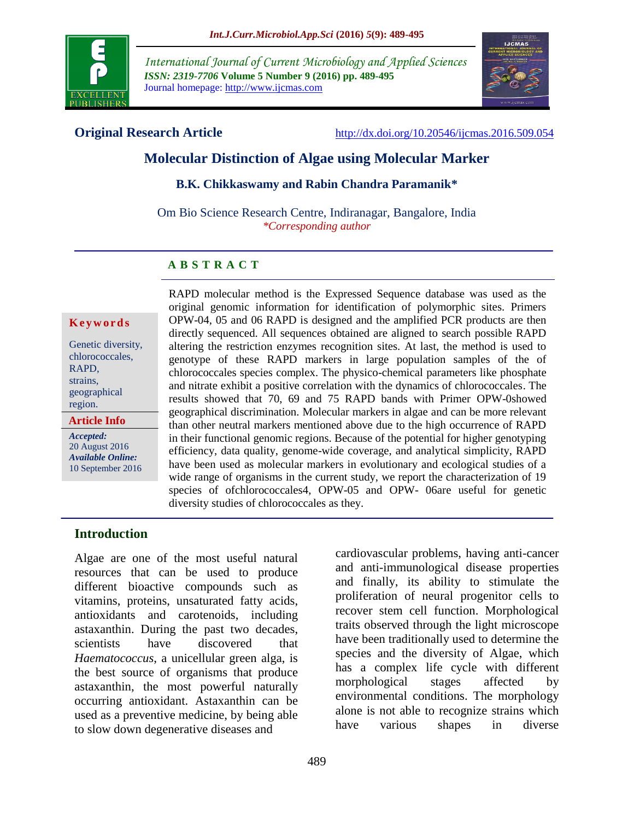

*International Journal of Current Microbiology and Applied Sciences ISSN: 2319-7706* **Volume 5 Number 9 (2016) pp. 489-495** Journal homepage: http://www.ijcmas.com



**Original Research Article** <http://dx.doi.org/10.20546/ijcmas.2016.509.054>

# **Molecular Distinction of Algae using Molecular Marker**

#### **B.K. Chikkaswamy and Rabin Chandra Paramanik\***

Om Bio Science Research Centre, Indiranagar, Bangalore, India *\*Corresponding author*

# **A B S T R A C T**

#### **K e y w o r d s**

Genetic diversity, chlorococcales, RAPD, strains, geographical region.

**Article Info**

*Accepted:*  20 August 2016 *Available Online:* 10 September 2016 RAPD molecular method is the Expressed Sequence database was used as the original genomic information for identification of polymorphic sites. Primers OPW-04, 05 and 06 RAPD is designed and the amplified PCR products are then directly sequenced. All sequences obtained are aligned to search possible RAPD altering the restriction enzymes recognition sites. At last, the method is used to genotype of these RAPD markers in large population samples of the of chlorococcales species complex. The physico-chemical parameters like phosphate and nitrate exhibit a positive correlation with the dynamics of chlorococcales. The results showed that 70, 69 and 75 RAPD bands with Primer OPW-0showed geographical discrimination. Molecular markers in algae and can be more relevant than other neutral markers mentioned above due to the high occurrence of RAPD in their functional genomic regions. Because of the potential for higher genotyping efficiency, data quality, genome-wide coverage, and analytical simplicity, RAPD have been used as molecular markers in evolutionary and ecological studies of a wide range of organisms in the current study, we report the characterization of 19 species of ofchlorococcales4, OPW-05 and OPW- 06are useful for genetic diversity studies of chlorococcales as they.

#### **Introduction**

Algae are one of the most useful natural resources that can be used to produce different bioactive compounds such as vitamins, proteins, unsaturated fatty acids, antioxidants and carotenoids, including astaxanthin. During the past two decades, scientists have discovered that *Haematococcus*, a unicellular green alga, is the best source of organisms that produce astaxanthin, the most powerful naturally occurring antioxidant. Astaxanthin can be used as a preventive medicine, by being able to slow down degenerative diseases and

cardiovascular problems, having anti-cancer and anti-immunological disease properties and finally, its ability to stimulate the proliferation of neural progenitor cells to recover stem cell function. Morphological traits observed through the light microscope have been traditionally used to determine the species and the diversity of Algae, which has a complex life cycle with different morphological stages affected by environmental conditions. The morphology alone is not able to recognize strains which have various shapes in diverse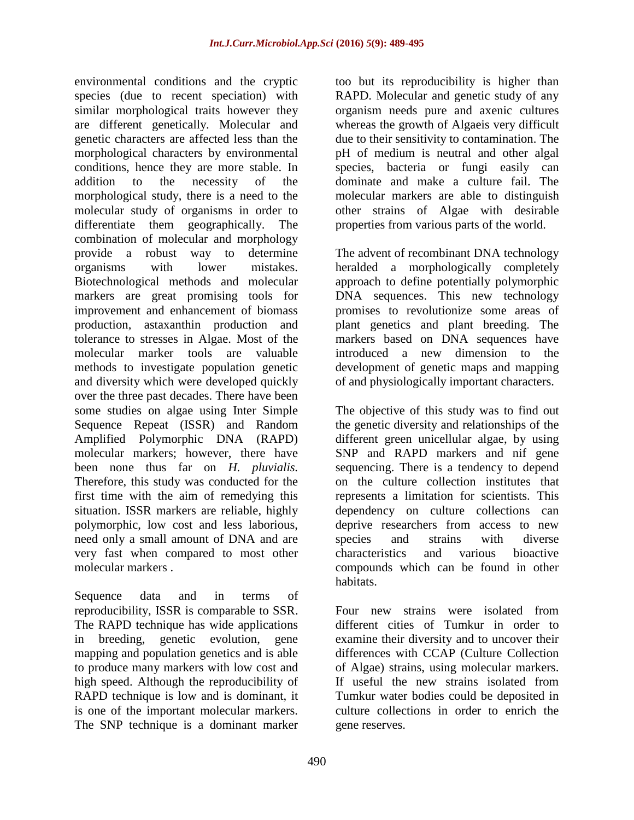environmental conditions and the cryptic species (due to recent speciation) with similar morphological traits however they are different genetically. Molecular and genetic characters are affected less than the morphological characters by environmental conditions, hence they are more stable. In addition to the necessity of the morphological study, there is a need to the molecular study of organisms in order to differentiate them geographically. The combination of molecular and morphology provide a robust way to determine organisms with lower mistakes. Biotechnological methods and molecular markers are great promising tools for improvement and enhancement of biomass production, astaxanthin production and tolerance to stresses in Algae. Most of the molecular marker tools are valuable methods to investigate population genetic and diversity which were developed quickly over the three past decades. There have been some studies on algae using Inter Simple Sequence Repeat (ISSR) and Random Amplified Polymorphic DNA (RAPD) molecular markers; however, there have been none thus far on *H. pluvialis.*  Therefore, this study was conducted for the first time with the aim of remedying this situation. ISSR markers are reliable, highly polymorphic, low cost and less laborious, need only a small amount of DNA and are very fast when compared to most other molecular markers .

Sequence data and in terms of reproducibility, ISSR is comparable to SSR. The RAPD technique has wide applications in breeding, genetic evolution, gene mapping and population genetics and is able to produce many markers with low cost and high speed. Although the reproducibility of RAPD technique is low and is dominant, it is one of the important molecular markers. The SNP technique is a dominant marker

too but its reproducibility is higher than RAPD. Molecular and genetic study of any organism needs pure and axenic cultures whereas the growth of Algaeis very difficult due to their sensitivity to contamination. The pH of medium is neutral and other algal species, bacteria or fungi easily can dominate and make a culture fail. The molecular markers are able to distinguish other strains of Algae with desirable properties from various parts of the world.

The advent of recombinant DNA technology heralded a morphologically completely approach to define potentially polymorphic DNA sequences. This new technology promises to revolutionize some areas of plant genetics and plant breeding. The markers based on DNA sequences have introduced a new dimension to the development of genetic maps and mapping of and physiologically important characters.

The objective of this study was to find out the genetic diversity and relationships of the different green unicellular algae, by using SNP and RAPD markers and nif gene sequencing. There is a tendency to depend on the culture collection institutes that represents a limitation for scientists. This dependency on culture collections can deprive researchers from access to new species and strains with diverse characteristics and various bioactive compounds which can be found in other habitats.

Four new strains were isolated from different cities of Tumkur in order to examine their diversity and to uncover their differences with CCAP (Culture Collection of Algae) strains, using molecular markers. If useful the new strains isolated from Tumkur water bodies could be deposited in culture collections in order to enrich the gene reserves.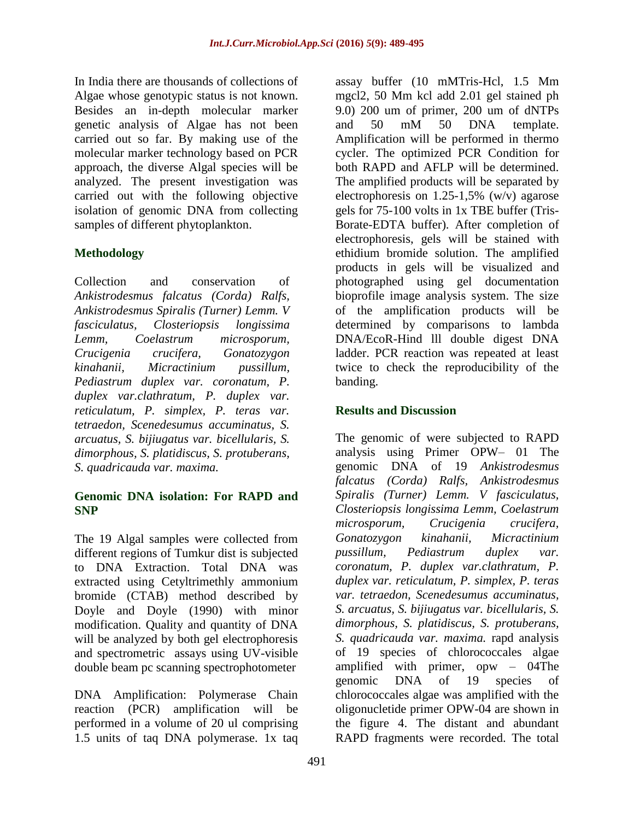In India there are thousands of collections of Algae whose genotypic status is not known. Besides an in-depth molecular marker genetic analysis of Algae has not been carried out so far. By making use of the molecular marker technology based on PCR approach, the diverse Algal species will be analyzed. The present investigation was carried out with the following objective isolation of genomic DNA from collecting samples of different phytoplankton.

# **Methodology**

Collection and conservation of *Ankistrodesmus falcatus (Corda) Ralfs, Ankistrodesmus Spiralis (Turner) Lemm. V fasciculatus, Closteriopsis longissima Lemm, Coelastrum microsporum, Crucigenia crucifera, Gonatozygon kinahanii, Micractinium pussillum, Pediastrum duplex var. coronatum, P. duplex var.clathratum, P. duplex var. reticulatum, P. simplex, P. teras var. tetraedon, Scenedesumus accuminatus, S. arcuatus, S. bijiugatus var. bicellularis, S. dimorphous, S. platidiscus, S. protuberans, S. quadricauda var. maxima.*

## **Genomic DNA isolation: For RAPD and SNP**

The 19 Algal samples were collected from different regions of Tumkur dist is subjected to DNA Extraction. Total DNA was extracted using Cetyltrimethly ammonium bromide (CTAB) method described by Doyle and Doyle (1990) with minor modification. Quality and quantity of DNA will be analyzed by both gel electrophoresis and spectrometric assays using UV-visible double beam pc scanning spectrophotometer

DNA Amplification: Polymerase Chain reaction (PCR) amplification will be performed in a volume of 20 ul comprising 1.5 units of taq DNA polymerase. 1x taq assay buffer (10 mMTris-Hcl, 1.5 Mm mgcl2, 50 Mm kcl add 2.01 gel stained ph 9.0) 200 um of primer, 200 um of dNTPs and 50 mM 50 DNA template. Amplification will be performed in thermo cycler. The optimized PCR Condition for both RAPD and AFLP will be determined. The amplified products will be separated by electrophoresis on  $1.25-1.5\%$  (w/v) agarose gels for 75-100 volts in 1x TBE buffer (Tris-Borate-EDTA buffer). After completion of electrophoresis, gels will be stained with ethidium bromide solution. The amplified products in gels will be visualized and photographed using gel documentation bioprofile image analysis system. The size of the amplification products will be determined by comparisons to lambda DNA/EcoR-Hind lll double digest DNA ladder. PCR reaction was repeated at least twice to check the reproducibility of the banding.

# **Results and Discussion**

The genomic of were subjected to RAPD analysis using Primer OPW– 01 The genomic DNA of 19 *Ankistrodesmus falcatus (Corda) Ralfs, Ankistrodesmus Spiralis (Turner) Lemm. V fasciculatus, Closteriopsis longissima Lemm, Coelastrum microsporum, Crucigenia crucifera, Gonatozygon kinahanii, Micractinium pussillum, Pediastrum duplex var. coronatum, P. duplex var.clathratum, P. duplex var. reticulatum, P. simplex, P. teras var. tetraedon, Scenedesumus accuminatus, S. arcuatus, S. bijiugatus var. bicellularis, S. dimorphous, S. platidiscus, S. protuberans, S. quadricauda var. maxima.* rapd analysis of 19 species of chlorococcales algae amplified with primer, opw – 04The genomic DNA of 19 species of chlorococcales algae was amplified with the oligonucletide primer OPW-04 are shown in the figure 4. The distant and abundant RAPD fragments were recorded. The total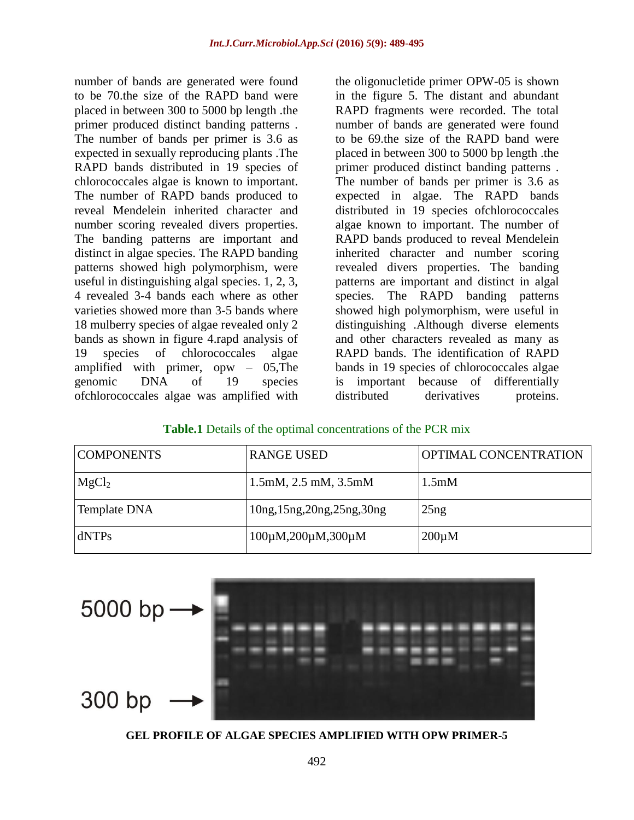number of bands are generated were found to be 70.the size of the RAPD band were placed in between 300 to 5000 bp length .the primer produced distinct banding patterns . The number of bands per primer is 3.6 as expected in sexually reproducing plants .The RAPD bands distributed in 19 species of chlorococcales algae is known to important. The number of RAPD bands produced to reveal Mendelein inherited character and number scoring revealed divers properties. The banding patterns are important and distinct in algae species. The RAPD banding patterns showed high polymorphism, were useful in distinguishing algal species. 1, 2, 3, 4 revealed 3-4 bands each where as other varieties showed more than 3-5 bands where 18 mulberry species of algae revealed only 2 bands as shown in figure 4.rapd analysis of 19 species of chlorococcales algae amplified with primer, opw – 05,The genomic DNA of 19 species ofchlorococcales algae was amplified with

the oligonucletide primer OPW-05 is shown in the figure 5. The distant and abundant RAPD fragments were recorded. The total number of bands are generated were found to be 69.the size of the RAPD band were placed in between 300 to 5000 bp length .the primer produced distinct banding patterns . The number of bands per primer is 3.6 as expected in algae. The RAPD bands distributed in 19 species ofchlorococcales algae known to important. The number of RAPD bands produced to reveal Mendelein inherited character and number scoring revealed divers properties. The banding patterns are important and distinct in algal species. The RAPD banding patterns showed high polymorphism, were useful in distinguishing .Although diverse elements and other characters revealed as many as RAPD bands. The identification of RAPD bands in 19 species of chlorococcales algae is important because of differentially distributed derivatives proteins.

#### **Table.1** Details of the optimal concentrations of the PCR mix

| <b>COMPONENTS</b> | <b>RANGE USED</b>                    | <b>OPTIMAL CONCENTRATION</b> |
|-------------------|--------------------------------------|------------------------------|
| MgCl <sub>2</sub> | $1.5$ mM, $2.5$ mM, $3.5$ mM         | 1.5 <sub>m</sub> M           |
| Template DNA      | 10ng, 15ng, 20ng, 25ng, 30ng         | 25ng                         |
| dNTPs             | $100\mu M$ , $200\mu M$ , $300\mu M$ | $200 \mu M$                  |



**GEL PROFILE OF ALGAE SPECIES AMPLIFIED WITH OPW PRIMER-5**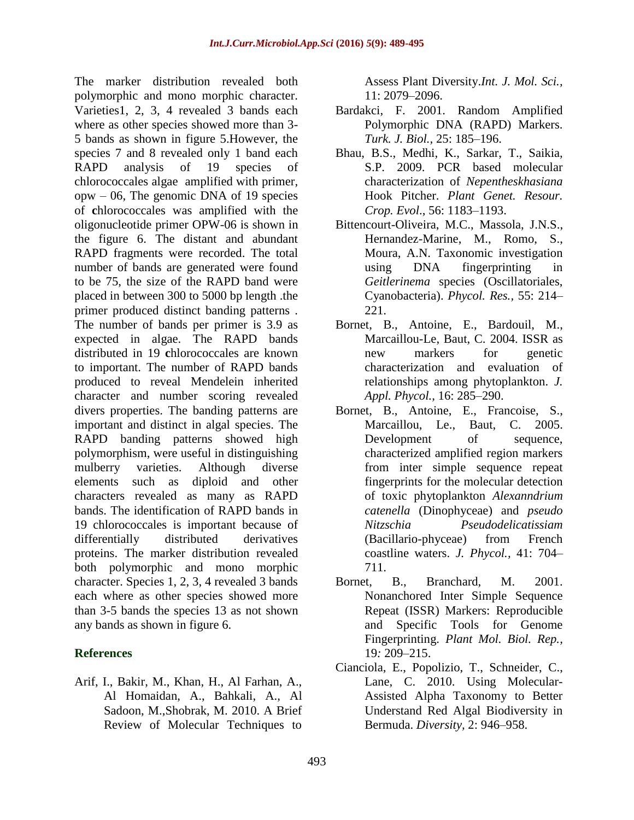The marker distribution revealed both polymorphic and mono morphic character. Varieties1, 2, 3, 4 revealed 3 bands each where as other species showed more than 3- 5 bands as shown in figure 5.However, the species 7 and 8 revealed only 1 band each RAPD analysis of 19 species of chlorococcales algae amplified with primer, opw – 06, The genomic DNA of 19 species of **c**hlorococcales was amplified with the oligonucleotide primer OPW-06 is shown in the figure 6. The distant and abundant RAPD fragments were recorded. The total number of bands are generated were found to be 75, the size of the RAPD band were placed in between 300 to 5000 bp length .the primer produced distinct banding patterns . The number of bands per primer is 3.9 as expected in algae. The RAPD bands distributed in 19 **c**hlorococcales are known to important. The number of RAPD bands produced to reveal Mendelein inherited character and number scoring revealed divers properties. The banding patterns are important and distinct in algal species. The RAPD banding patterns showed high polymorphism, were useful in distinguishing mulberry varieties. Although diverse elements such as diploid and other characters revealed as many as RAPD bands. The identification of RAPD bands in 19 chlorococcales is important because of differentially distributed derivatives proteins. The marker distribution revealed both polymorphic and mono morphic character. Species 1, 2, 3, 4 revealed 3 bands each where as other species showed more than 3-5 bands the species 13 as not shown any bands as shown in figure 6.

## **References**

Arif, I., Bakir, M., Khan, H., Al Farhan, A., Al Homaidan, A., Bahkali, A., Al Sadoon, M.,Shobrak, M. 2010. A Brief Review of Molecular Techniques to

Assess Plant Diversity.*Int. J. Mol. Sci.,* 11: 2079–2096.

- Bardakci, F. 2001. Random Amplified Polymorphic DNA (RAPD) Markers. *Turk. J. Biol.,* 25: 185–196.
- Bhau, B.S., Medhi, K., Sarkar, T., Saikia, S.P. 2009. PCR based molecular characterization of *Nepentheskhasiana* Hook Pitcher. *Plant Genet. Resour. Crop. Evol*., 56: 1183–1193.
- Bittencourt-Oliveira, M.C., Massola, J.N.S., Hernandez-Marine, M., Romo, S., Moura, A.N. Taxonomic investigation using DNA fingerprinting in *Geitlerinema* species (Oscillatoriales, Cyanobacteria). *Phycol. Res.,* 55: 214– 221.
- Bornet, B., Antoine, E., Bardouil, M., Marcaillou-Le, Baut, C. 2004. ISSR as new markers for genetic characterization and evaluation of relationships among phytoplankton. *J. Appl. Phycol.,* 16: 285–290.
- Bornet, B., Antoine, E., Francoise, S., Marcaillou, Le., Baut, C. 2005. Development of sequence, characterized amplified region markers from inter simple sequence repeat fingerprints for the molecular detection of toxic phytoplankton *Alexanndrium catenella* (Dinophyceae) and *pseudo Nitzschia Pseudodelicatissiam* (Bacillario-phyceae) from French coastline waters. *J. Phycol.,* 41: 704– 711.
- Bornet, B., Branchard, M. 2001. Nonanchored Inter Simple Sequence Repeat (ISSR) Markers: Reproducible and Specific Tools for Genome Fingerprinting. *Plant Mol. Biol. Rep.,* 19*:* 209–215.
- Cianciola, E., Popolizio, T., Schneider, C., Lane, C. 2010. Using Molecular-Assisted Alpha Taxonomy to Better Understand Red Algal Biodiversity in Bermuda. *Diversity,* 2: 946–958.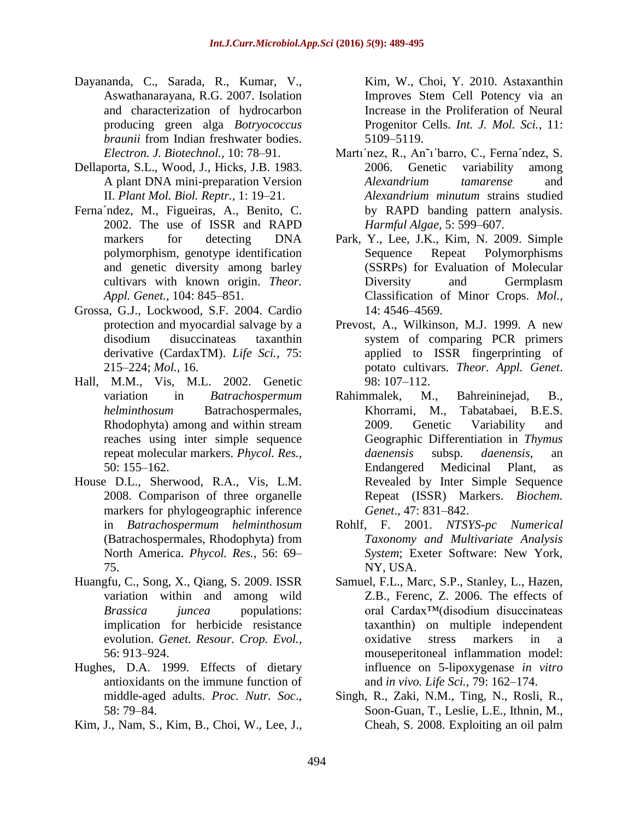- Dayananda, C., Sarada, R., Kumar, V., Aswathanarayana, R.G. 2007. Isolation and characterization of hydrocarbon producing green alga *Botryococcus braunii* from Indian freshwater bodies. *Electron. J. Biotechnol.,* 10: 78–91.
- Dellaporta, S.L., Wood, J., Hicks, J.B. 1983. A plant DNA mini-preparation Version II. *Plant Mol. Biol. Reptr.,* 1: 19–21.
- Ferna´ndez, M., Figueiras, A., Benito, C. 2002. The use of ISSR and RAPD markers for detecting DNA polymorphism, genotype identification and genetic diversity among barley cultivars with known origin. *Theor. Appl. Genet.,* 104: 845–851.
- Grossa, G.J., Lockwood, S.F. 2004. Cardio protection and myocardial salvage by a disodium disuccinateas taxanthin derivative (CardaxTM). *Life Sci.,* 75: 215–224; *Mol.,* 16.
- Hall, M.M., Vis, M.L. 2002. Genetic variation in *Batrachospermum helminthosum* Batrachospermales, Rhodophyta) among and within stream reaches using inter simple sequence repeat molecular markers. *Phycol. Res.,*  50: 155–162.
- House D.L., Sherwood, R.A., Vis, L.M. 2008. Comparison of three organelle markers for phylogeographic inference in *Batrachospermum helminthosum* (Batrachospermales, Rhodophyta) from North America. *Phycol. Res.,* 56: 69– 75.
- Huangfu, C., Song, X., Qiang, S. 2009. ISSR variation within and among wild *Brassica juncea* populations: implication for herbicide resistance evolution. *Genet. Resour. Crop. Evol.,*  56: 913–924.
- Hughes, D.A. 1999. Effects of dietary antioxidants on the immune function of middle-aged adults. *Proc. Nutr. Soc*., 58: 79–84.
- Kim, J., Nam, S., Kim, B., Choi, W., Lee, J.,

Kim, W., Choi, Y. 2010. Astaxanthin Improves Stem Cell Potency via an Increase in the Proliferation of Neural Progenitor Cells. *Int. J. Mol. Sci.,* 11: 5109–5119.

- Martı´nez, R., An˜ı´barro, C., Ferna´ndez, S. 2006. Genetic variability among *Alexandrium tamarense* and *Alexandrium minutum* strains studied by RAPD banding pattern analysis. *Harmful Algae,* 5: 599–607.
- Park, Y., Lee, J.K., Kim, N. 2009. Simple Sequence Repeat Polymorphisms (SSRPs) for Evaluation of Molecular Diversity and Germplasm Classification of Minor Crops. *Mol.,*  14: 4546–4569.
- Prevost, A., Wilkinson, M.J. 1999. A new system of comparing PCR primers applied to ISSR fingerprinting of potato cultivars. *Theor. Appl. Genet*. 98: 107–112.
- Rahimmalek, M., Bahreininejad, B., Khorrami, M., Tabatabaei, B.E.S. 2009. Genetic Variability and Geographic Differentiation in *Thymus daenensis* subsp. *daenensis*, an Endangered Medicinal Plant, as Revealed by Inter Simple Sequence Repeat (ISSR) Markers. *Biochem. Genet*., 47: 831–842.
- Rohlf, F. 2001. *NTSYS-pc Numerical Taxonomy and Multivariate Analysis System*; Exeter Software: New York, NY, USA.
- Samuel, F.L., Marc, S.P., Stanley, L., Hazen, Z.B., Ferenc, Z. 2006. The effects of oral Cardax™(disodium disuccinateas taxanthin) on multiple independent oxidative stress markers in a mouseperitoneal inflammation model: influence on 5-lipoxygenase *in vitro*  and *in vivo. Life Sci.,* 79: 162–174.
- Singh, R., Zaki, N.M., Ting, N., Rosli, R., Soon-Guan, T., Leslie, L.E., Ithnin, M., Cheah, S. 2008. Exploiting an oil palm